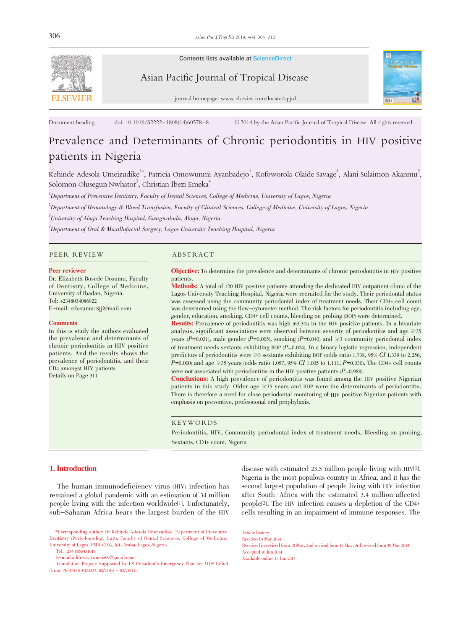

#### Contents lists available at ScienceDirect

# Asian Pacific Journal of Tropical Disease



journal homepage: www.elsevier.com/locate/apjtd

Document heading doi: 10.1016/S2222-1808(14)60578-8 © 2014 by the Asian Pacific Journal of Tropical Disease. All rights reserved.

# Prevalence and Determinants of Chronic periodontitis in HIV positive patients in Nigeria

Kehinde Adesola Umeizudike<sup>1\*</sup>, Patricia Omowunmi Ayanbadejo<sup>1</sup>, Kofoworola Olaide Savage<sup>1</sup>, Alani Sulaimon Akanmu<sup>2</sup>, Solomon Olusegun Nwhator $^3$ , Christian Ibezi Emeka $^4$ 

1 Department of Preventive Dentistry, Faculty of Dental Sciences, College of Medicine, University of Lagos, Nigeria

2 Department of Hematology & Blood Transfusion, Faculty of Clinical Sciences, College of Medicine, University of Lagos, Nigeria

 ${}^{3}$ University of Abuja Teaching Hospital, Gwagwalada, Abuja, Nigeria

4 Department of Oral & Maxillofacial Surgery, Lagos University Teaching Hospital, Nigeria

#### PEER REVIEW ABSTRACT

#### Peer reviewer

Dr. Elizabeth Bosede Dosumu, Faculty of Dentistry, College of Medicine, University of Ibadan, Nigeria. Tel: +2348034086922 E-mail: edosumu18jj@mail.com

#### **Comments**

In this is study the authors evaluated the prevalence and determinants of chronic periodontitis in HIV positive patients. And the results shows the prevalence of periodontitis, and their CD4 amongst HIV patients Details on Page 311

Objective: To determine the prevalence and determinants of chronic periodontitis in HIV positive patients.

Methods: A total of <sup>120</sup> HIV positive patients attending the dedicated HIV outpatient clinic of the Lagos University Teaching Hospital, Nigeria were recruited for the study. Their periodontal status was assessed using the community periodontal index of treatment needs. Their CD4+ cell count was determined using the flow-cytometer method. The risk factors for periodontitis including age, gender, education, smoking, CD4+ cell counts, bleeding on probing (BOP) were determined.

Results: Prevalence of periodontitis was high (63.3%) in the HIV positive patients. In a bivariate analysis, significant associations were observed between severity of periodontitis and age ≥35 years (P=0.021), male gender (P=0.005), smoking (P=0.040) and  $\geq$ 3 community periodontal index of treatment needs sextants exhibiting BOP  $(P=0.004)$ . In a binary logistic regression, independent predictors of periodontitis were  $\geq$ 3 sextants exhibiting BOP (odds ratio 1.738, 95% CI 1.339 to 2.256,  $P=0.000$ ) and age ≥35 years (odds ratio 1.057, 95% CI 1.005 to 1.111, P=0.030). The CD4+ cell counts were not associated with periodontitis in the HIV positive patients  $(P=0.988)$ .

Conclusions: A high prevalence of periodontitis was found among the HIV positive Nigerian patients in this study. Older age ≥35 years and BOP were the determinants of periodontitis. There is therefore a need for close periodontal monitoring of HIV positive Nigerian patients with emphasis on preventive, professional oral prophylaxis.

#### KEYWORDS

Periodontitis, HIV, Community periodontal index of treatment needs, Bleeding on probing, Sextants, CD4+ count, Nigeria

#### 1. Introduction

The human immunodeficiency virus (HIV) infection has remained a global pandemic with an estimation of 34 million people living with the infection worldwide[1]. Unfortunately, sub-Saharan Africa bears the largest burden of the HIV

disease with estimated 23.5 million people living with HIV[1]. Nigeria is the most populous country in Africa, and it has the second largest population of people living with HIV infection after South-Africa with the estimated 3.4 million affected people[2]. The HIV infection causes a depletion of the CD4+ cells resulting in an impairment of immune responses. The

Article history: Received 4 May 2014 Received in revised form 10 May, 2nd revised form 17 May, 3rd revised form 30 May 2014 Accepted 10 Jun 2014 Available online 15 Jun 2014

<sup>\*</sup>Corresponding author: Dr Kehinde Adesola Umeizudike, Department of Preventive Dentistry (Periodontology Unit), Faculty of Dental Sciences, College of Medicine, University of Lagos, PMB 12003, Idi-Araba, Lagos, Nigeria.

Tel: +234 8055451018

E-mail address: kumeiz09@gmail.com

Foundation Project: Supported by US President's Emergency Plan for AIDS Relief  $(C \text{rant No } \text{I} 51 \text{HA} 025522. 08/21/04 - 02/28/11)$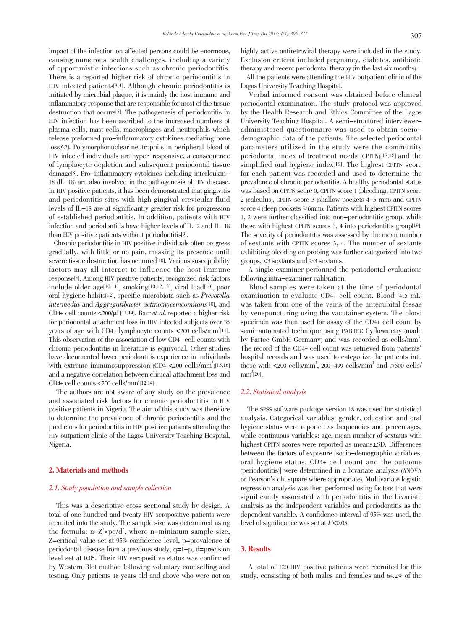impact of the infection on affected persons could be enormous, causing numerous health challenges, including a variety of opportunistic infections such as chronic periodontitis. There is a reported higher risk of chronic periodontitis in HIV infected patients[3,4]. Although chronic periodontitis is initiated by microbial plaque, it is mainly the host immune and inflammatory response that are responsible for most of the tissue destruction that occurs[5]. The pathogenesis of periodontitis in HIV infection has been ascribed to the increased numbers of plasma cells, mast cells, macrophages and neutrophils which release preformed pro-inflammatory cytokines mediating bone loss[6,7]. Polymorphonuclear neutrophils in peripheral blood of HIV infected individuals are hyper-responsive, a consequence of lymphocyte depletion and subsequent periodontal tissue damage[8]. Pro-inflammatory cytokines including interleukin-18 (IL-18) are also involved in the pathogenesis of HIV disease. In HIV positive patients, it has been demonstrated that gingivitis and periodontitis sites with high gingival crevicular fluid levels of IL-18 are at significantly greater risk for progression of established periodontitis. In addition, patients with HIV infection and periodontitis have higher levels of IL-2 and IL-18 than HIV positive patients without periodontitis[9].

Chronic periodontitis in HIV positive individuals often progress gradually, with little or no pain, masking its presence until severe tissue destruction has occurred<sup>[10]</sup>. Various susceptibility factors may all interact to influence the host immune response[5]. Among HIV positive patients, recognized risk factors include older age[10,11], smoking[10,12,13], viral load[10], poor oral hygiene habits[12], specific microbiota such as Prevotella intermedia and Aggregatibacter actinomycemcomitans[10], and CD4+ cell counts  $\langle 200/\mu L[11,14]$ . Barr *et al.* reported a higher risk for periodontal attachment loss in HIV infected subjects over 35 years of age with CD4+ lymphocyte counts <200 cells/mm<sup>3</sup>[11]. This observation of the association of low CD4+ cell counts with chronic periodontitis in literature is equivocal. Other studies have documented lower periodontitis experience in individuals with extreme immunosuppression (CD4 <200 cells/mm<sup>3</sup>)<sup>[15,16]</sup> and a negative correlation between clinical attachment loss and CD4+ cell counts  $\langle 200 \text{ cells/mm}^3 [12,14]$ .

The authors are not aware of any study on the prevalence and associated risk factors for chronic periodontitis in HIV positive patients in Nigeria. The aim of this study was therefore to determine the prevalence of chronic periodontitis and the predictors for periodontitis in HIV positive patients attending the HIV outpatient clinic of the Lagos University Teaching Hospital, Nigeria.

# 2. Materials and methods

# 2.1. Study population and sample collection

This was a descriptive cross sectional study by design. A total of one hundred and twenty HIV seropositive patients were recruited into the study. The sample size was determined using the formula:  $n=Z^2\times pq/d^2$ , where  $n=$ minimum sample size, Z=critical value set at 95% confidence level, p=prevalence of periodontal disease from a previous study, q=1-p, d=precision level set at 0.05. Their HIV seropositive status was confirmed by Western Blot method following voluntary counselling and testing. Only patients 18 years old and above who were not on highly active antiretroviral therapy were included in the study. Exclusion criteria included pregnancy, diabetes, antibiotic therapy and recent periodontal therapy (in the last six months).

All the patients were attending the HIV outpatient clinic of the Lagos University Teaching Hospital.

Verbal informed consent was obtained before clinical periodontal examination. The study protocol was approved by the Health Research and Ethics Committee of the Lagos University Teaching Hospital. A semi-structured intervieweradministered questionnaire was used to obtain sociodemographic data of the patients. The selected periodontal parameters utilized in the study were the community periodontal index of treatment needs (CPITN)[17,18] and the simplified oral hygiene index<sup>[19]</sup>. The highest CPITN score for each patient was recorded and used to determine the prevalence of chronic periodontitis. A healthy periodontal status was based on CPITN score 0, CPITN score 1 (bleeding), CPITN score 2 (calculus), CPITN score 3 (shallow pockets 4-5 mm) and CPITN score 4 (deep pockets <sup>≥</sup>6mm). Patients with highest CPITN scores 1, 2 were further classified into non-periodontitis group, while those with highest CPITN scores 3, 4 into periodontitis group[19]. The severity of periodontitis was assessed by the mean number of sextants with CPITN scores 3, 4. The number of sextants exhibiting bleeding on probing was further categorized into two groups, <3 sextants and <sup>≥</sup>3 sextants.

A single examiner performed the periodontal evaluations following intra-examiner calibration.

Blood samples were taken at the time of periodontal examination to evaluate CD4+ cell count. Blood (4.5 mL) was taken from one of the veins of the antecubital fossae by venepuncturing using the vacutainer system. The blood specimen was then used for assay of the CD4+ cell count by semi-automated technique using PARTEC Cyflowmetry (made by Partec GmbH Germany) and was recorded as cells/mm<sup>3</sup>. The record of the CD4+ cell count was retrieved from patients' hospital records and was used to categorize the patients into those with  $\langle 200 \text{ cells/mm}^3, 200-499 \text{ cells/mm}^3 \text{ and } \geq 500 \text{ cells.}$  $mm^3$ [20].

## 2.2. Statistical analysis

The SPSS software package version 18 was used for statistical analysis. Categorical variables: gender, education and oral hygiene status were reported as frequencies and percentages, while continuous variables: age, mean number of sextants with highest CPITN scores were reported as means±SD. Differences between the factors of exposure [socio-demographic variables, oral hygiene status, CD4+ cell count and the outcome (periodontitis)] were determined in a bivariate analysis (ANOVA or Pearson's chi square where appropriate). Multivariate logistic regression analysis was then performed using factors that were significantly associated with periodontitis in the bivariate analysis as the independent variables and periodontitis as the dependent variable. A confidence interval of 95% was used, the level of significance was set at  $P<0.05$ .

# 3. Results

A total of 120 HIV positive patients were recruited for this study, consisting of both males and females and 64.2% of the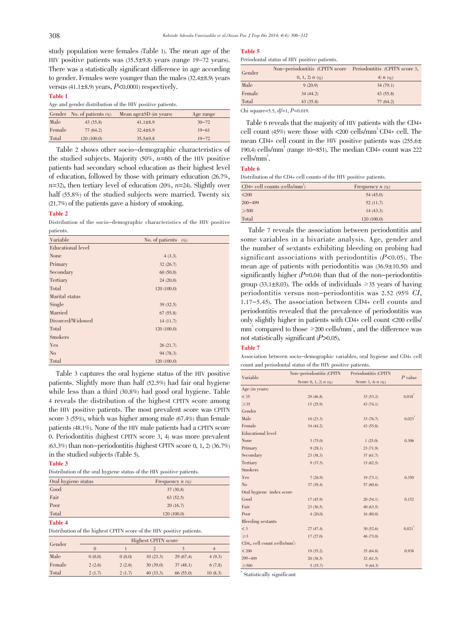study population were females (Table 1). The mean age of the HIV positive patients was  $(35.5\pm9.8)$  years (range 19-72 years). There was a statistically significant difference in age according to gender. Females were younger than the males  $(32.4 \pm 8.9)$  years versus (41.1 $\pm$ 8.9) years,  $P$ <0.0001) respectively.

#### Table 1

Age and gender distribution of the HIV positive patients.

|        | Gender No. of patients $(\% )$ | Mean $age \pm SD$ (in years) | Age range |
|--------|--------------------------------|------------------------------|-----------|
| Male   | 43(35.8)                       | $41.1 \pm 8.9$               | $30 - 72$ |
| Female | 77(64.2)                       | $32.4 \pm 8.9$               | $19 - 61$ |
| Total  | 120(100.0)                     | $35.5 \pm 9.8$               | $19 - 72$ |

Table 2 shows other socio-demographic characteristics of the studied subjects. Majority  $(50\%, n=60)$  of the HIV positive patients had secondary school education as their highest level of education, followed by those with primary education (26.7%,  $n=32$ ), then tertiary level of education (20%,  $n=24$ ). Slightly over half (55.8%) of the studied subjects were married. Twenty six  $(21.7%)$  of the patients gave a history of smoking.

#### Table 2

Distribution of the socio-demographic characteristics of the HIV positive patients.

| Variable          | No. of patients | $(\%)$ |
|-------------------|-----------------|--------|
| Educational level |                 |        |
| None              | 4(3.3)          |        |
| Primary           | 32(26.7)        |        |
| Secondary         | 60(50.0)        |        |
| Tertiary          | 24 (20.0)       |        |
| Total             | 120 (100.0)     |        |
| Marital status    |                 |        |
| Single            | 39(32.5)        |        |
| Married           | 67(55.8)        |        |
| Divorced/Widowed  | 14(11.7)        |        |
| Total             | 120 (100.0)     |        |
| Smokers           |                 |        |
| Yes               | 26(21.7)        |        |
| N <sub>o</sub>    | 94 (78.3)       |        |
| Total             | 120 (100.0)     |        |

Table 3 captures the oral hygiene status of the HIV positive patients. Slightly more than half (52.5%) had fair oral hygiene while less than a third (30.8%) had good oral hygiene. Table 4 reveals the distribution of the highest CPITN score among the HIV positive patients. The most prevalent score was CPITN score 3 (55%), which was higher among male (67.4%) than female patients (48.1%). None of the HIV male patients had a CPITN score 0. Periodontitis (highest CPITN score 3, 4) was more prevalent (63.3%) than non-periodontitis (highest CPITN score 0, 1, 2) (36.7%) in the studied subjects(Table 5).

#### Table 3

|  |  |  | Distribution of the oral hygiene status of the HIV positive patients. |  |  |  |  |  |
|--|--|--|-----------------------------------------------------------------------|--|--|--|--|--|
|--|--|--|-----------------------------------------------------------------------|--|--|--|--|--|

| Oral hygiene status | Frequency $n(\%)$ |
|---------------------|-------------------|
| Good                | 37(30.8)          |
| Fair                | 63(52.5)          |
| Poor                | 20(16.7)          |
| Total               | 120 (100.0)       |

#### Table 4

Distribution of the highest CPITN score of the HIV positive patients.

|        | Highest CPITN score |        |          |          |         |  |
|--------|---------------------|--------|----------|----------|---------|--|
| Gender | $\Omega$            |        |          |          | 4       |  |
| Male   | 0(0.0)              | 0(0.0) | 10(23.3) | 29(67.4) | 4(9.3)  |  |
| Female | 2(2.6)              | 2(2.6) | 30(39.0) | 37(48.1) | 6(7.8)  |  |
| Total  | 2(1.7)              | 2(1.7) | 40(33.3) | 66(55.0) | 10(8.3) |  |

#### Table 5

Periodontal status of HIV positive patients.

| Gender | Non-periodontitis (CPITN score Periodontitis (CPITN score 3, |                       |
|--------|--------------------------------------------------------------|-----------------------|
|        | $(0, 1, 2)$ $n$ $(q_0)$                                      | 4) $n(\mathcal{G}_0)$ |
| Male   | 9(20.9)                                                      | 34(79.1)              |
| Female | 34(44.2)                                                     | 43 (55.8)             |
| Total  | 43(35.8)                                                     | 77(64.2)              |
| $-1$   | $- - 10$ $- - 20$                                            |                       |

Chi square=5.5,  $df=1, P=0.019$ .

Table 6 reveals that the majority of HIV patients with the CD4+ cell count  $(45%)$  were those with  $\langle 200 \text{ cells/mm}^3 \text{ CD4+ cell}$ . The mean CD4+ cell count in the HIV positive patients was  $(255.6\pm$ 190.4) cells/mm<sup>3</sup> (range 10–851). The median CD4+ count was 222 cells/mm<sup>3</sup>.

# Table 6

Distribution of the CD4+ cell counts of the HIV positive patients.

| $CD4+$ cell counts (cells/mm <sup>3</sup> ) | Frequency $n(\mathcal{G}_0)$ |
|---------------------------------------------|------------------------------|
| $200$                                       | 54(45.0)                     |
| $200 - 499$                                 | 52(11.7)                     |
| $\geqslant$ 500                             | 14(43.3)                     |
| Total                                       | 120(100.0)                   |

Table 7 reveals the association between periodontitis and some variables in a bivariate analysis. Age, gender and the number of sextants exhibiting bleeding on probing had significant associations with periodontitis  $(P<0.05)$ . The mean age of patients with periodontitis was  $(36.9 \pm 10.50)$  and significantly higher  $(P=0.04)$  than that of the non-periodontitis group (33.1 $\pm$ 8.03). The odds of individuals  $\geq$ 35 years of having periodontitis versus non-periodontitis was 2.52 (95% CI, 1.17-5.45). The association between CD4+ cell counts and periodontitis revealed that the prevalence of periodontitis was only slightly higher in patients with CD4+ cell count <200 cells/ mm<sup>3</sup> compared to those  $\geq 200$  cells/mm<sup>3</sup>, and the difference was not statistically significant  $(P>0.05)$ .

#### Table 7

Association between socio-demographic variables, oral hygiene and CD4+ cell count and periodontal status of the HIV positive patients.

| Variable                                    | Non-periodontitis (CPITN | Periodontitis (CPITN   | $P$ value |  |
|---------------------------------------------|--------------------------|------------------------|-----------|--|
|                                             | Score 0, 1, 2) $n$ (%)   | Score 3, 4) $n$ $(\%)$ |           |  |
| Age (in years)                              |                          |                        |           |  |
| $<$ 35                                      | 29(46.8)                 | 33(53.2)               | 0.018     |  |
| $\geqslant$ 35                              | 15(25.9)                 | 43(74.1)               |           |  |
| Gender                                      |                          |                        |           |  |
| Male                                        | 10(23.3)                 | 33 (76.7)              | 0.023     |  |
| Female                                      | 34(44.2)                 | 43 (55.8)              |           |  |
| <b>Educational level</b>                    |                          |                        |           |  |
| None                                        | 3(75.0)                  | 1(25.0)                | 0.306     |  |
| Primary                                     | 9(28.1)                  | 23 (71.9)              |           |  |
| Secondary                                   | 23(38.3)                 | 37(61.7)               |           |  |
| Tertiary                                    | 9(37.5)                  | 15(62.5)               |           |  |
| Smokers                                     |                          |                        |           |  |
| Yes                                         | 7(26.9)                  | 19(73.1)               | 0.350     |  |
| N <sub>o</sub>                              | 37(39.4)                 | 57 (60.6)              |           |  |
| Oral hygiene index score                    |                          |                        |           |  |
| Good                                        | 17(45.9)                 | 20(54.1)               | 0.152     |  |
| Fair                                        | 23(36.5)                 | 40(63.5)               |           |  |
| Poor                                        | 4(20.0)                  | 16(80.0)               |           |  |
| <b>Bleeding</b> sextants                    |                          |                        |           |  |
| $<$ 3                                       | 27(47.4)                 | 30(52.6)               | 0.021     |  |
| $\geq$ 3                                    | 17(27.0)                 | 46 (73.0)              |           |  |
| $CD4_+$ cell count (cells/mm <sup>3</sup> ) |                          |                        |           |  |
| < 200                                       | 19(35.2)                 | 35(64.8)               | 0.938     |  |
| $200 - 499$                                 | 20(38.5)                 | 32(61.5)               |           |  |
| $\geqslant$ 500                             | 5(35.7)                  | 9(64.3)                |           |  |

Statistically significant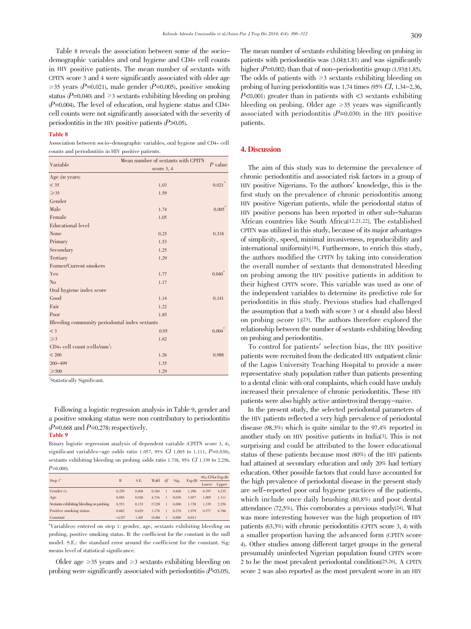Table 8 reveals the association between some of the sociodemographic variables and oral hygiene and CD4+ cell counts in HIV positive patients. The mean number of sextants with CPITN score 3 and 4 were significantly associated with older age  $\geq$ 35 years (P=0.021), male gender (P=0.005), positive smoking status ( $P=0.040$ ) and  $\geq 3$  sextants exhibiting bleeding on probing  $(P=0.004)$ . The level of education, oral hygiene status and CD4+ cell counts were not significantly associated with the severity of periodontitis in the HIV positive patients  $(P>0.05)$ .

#### Table 8

Association between socio-demographic variables, oral hygiene and CD4+ cell counts and periodontitis in HIV positive patients.

| Variable                                      | Mean number of sextants with CPITN |             |  |
|-----------------------------------------------|------------------------------------|-------------|--|
|                                               | score $3, 4$                       | $P$ value   |  |
| Age (in years)                                |                                    |             |  |
| $<$ 35                                        | 1.03                               | 0.021       |  |
| $\geqslant$ 35                                | 1.59                               |             |  |
| Gender                                        |                                    |             |  |
| Male                                          | 1.74                               | 0.005       |  |
| Female                                        | 1.05                               |             |  |
| <b>Educational level</b>                      |                                    |             |  |
| None                                          | 0.25                               | 0.318       |  |
| Primary                                       | 1.53                               |             |  |
| Secondary                                     | 1.25                               |             |  |
| Tertiary                                      | 1.29                               |             |  |
| Former/Current smokers                        |                                    |             |  |
| Yes                                           | 1.77                               | $0.040^{7}$ |  |
| N <sub>o</sub>                                | 1.17                               |             |  |
| Oral hygiene index score                      |                                    |             |  |
| Good                                          | 1.14                               | 0.141       |  |
| Fair                                          | 1.22                               |             |  |
| Poor                                          | 1.85                               |             |  |
| Bleeding community periodontal index sextants |                                    |             |  |
| $<$ 3                                         | 0.95                               | 0.004       |  |
| $\geq$ 3                                      | 1.62                               |             |  |
| $CD4+$ cell count (cells/mm <sup>3</sup> )    |                                    |             |  |
| < 200                                         | 1.26                               | 0.988       |  |
| $200 - 499$                                   | 1.35                               |             |  |
| $\geqslant$ 500                               | 1.29                               |             |  |

\* Statistically Significant.

Following a logistic regression analysis in Table 9, gender and a positive smoking status were non contributory to periodontitis  $(P=0.668 \text{ and } P=0.278)$  respectively.<br>Table 9

Binary logistic regression analysis of dependent variable (CPITN score 3, 4), significant variables-age (odds ratio 1.057, 95% CI 1.005 to 1.111,  $P=0.030$ ), sextants exhibiting bleeding on probing (odds ratio 1.738, 95% CI 1.339 to 2.256,  $P=0.000$ 

| Step 1 <sup>a</sup>                     | <sub>B</sub> | S.E.  | Wald   | df | Sig.  | Exp(B) | 95% $CI$ for Exp $(B)$ |       |
|-----------------------------------------|--------------|-------|--------|----|-------|--------|------------------------|-------|
|                                         |              |       |        |    |       |        | Lower                  | Upper |
| Gender $(1)$                            | 0.259        | 0.604 | 0.184  |    | 0.668 | 1.296  | 0.397                  | 4.235 |
| Age                                     | 0.056        | 0.026 | 4.716  |    | 0.030 | 1.057  | 1.005                  | 1.111 |
| Sextants exhibiting bleeding on probing | 0.553        | 0.133 | 17.228 |    | 0.000 | 1.738  | 1.339                  | 2.256 |
| Positive smoking status                 | 0.682        | 0.629 | 1.178  |    | 0.278 | 1.979  | 0.577                  | 6.786 |
| Constant                                | $-4.337$     | 1.105 | 15.404 |    | 0.000 | 0.013  |                        |       |

a Variable(s) entered on step 1: gender, age, sextants exhibiting bleeding on probing, positive smoking status. B: the coefficient for the constant in the null model. S.E.: the standard error around the coefficient for the constant. Sig: means level of statistical significance.

Older age  $\geq 35$  years and  $\geq 3$  sextants exhibiting bleeding on probing were significantly associated with periodontitis  $(P<0.05)$ .

The mean number of sextants exhibiting bleeding on probing in patients with periodontitis was  $(3.04 \pm 1.81)$  and was significantly higher  $(P=0.002)$  than that of non-periodontitis group (1.93 $\pm$ 1.85). The odds of patients with  $\geq 3$  sextants exhibiting bleeding on probing of having periodontitis was 1.74 times  $\frac{95\% \; CI}{CI}$ , 1.34-2.36,  $P \leq 0.001$  greater than in patients with  $\leq 3$  sextants exhibiting bleeding on probing. Older age  $\geq 35$  years was significantly associated with periodontitis  $(P=0.030)$  in the HIV positive patients.

# 4. Discussion

The aim of this study was to determine the prevalence of chronic periodontitis and associated risk factors in a group of HIV positive Nigerians. To the authors' knowledge, this is the first study on the prevalence of chronic periodontitis among HIV positive Nigerian patients, while the periodontal status of HIV positive persons has been reported in other sub-Saharan African countries like South Africa<sup>[12,21,22]</sup>. The established CPITN was utilized in thisstudy, because of its major advantages of simplicity, speed, minimal invasiveness, reproducibility and international uniformity[18]. Furthermore, to enrich this study, the authors modified the CPITN by taking into consideration the overall number of sextants that demonstrated bleeding on probing among the HIV positive patients in addition to their highest CPITN score. This variable was used as one of the independent variables to determine its predictive role for periodontitis in this study. Previous studies had challenged the assumption that a tooth with score 3 or 4 should also bleed on probing (score 1)[23]. The authors therefore explored the relationship between the number of sextants exhibiting bleeding on probing and periodontitis.

To control for patients' selection bias, the HIV positive patients were recruited from the dedicated HIV outpatient clinic of the Lagos University Teaching Hospital to provide a more representative study population rather than patients presenting to a dental clinic with oral complaints, which could have unduly increased their prevalence of chronic periodontitis. These HIV patients were also highly active antiretroviral therapy-naive.

In the present study, the selected periodontal parameters of the HIV patients reflected a very high prevalence of periodontal disease (98.3%) which is quite similar to the 97.4% reported in another study on HIV positive patients in India[3]. This is not surprising and could be attributed to the lower educational status of these patients because most (80%) of the HIV patients had attained at secondary education and only 20% had tertiary education. Other possible factors that could have accounted for the high prevalence of periodontal disease in the present study are self-reported poor oral hygiene practices of the patients, which include once daily brushing (80.8%) and poor dental attendance (72.5%). This corroborates a previous study[24]. What was more interesting however was the high proportion of HIV patients (63.3%) with chronic periodontitis (CPITN score 3, 4) with a smaller proportion having the advanced form (CPITN score 4). Other studies among different target groups in the general presumably uninfected Nigerian population found CPITN score 2 to be the most prevalent periodontal condition[25,26]. A CPITN score 2 was also reported as the most prevalent score in an HIV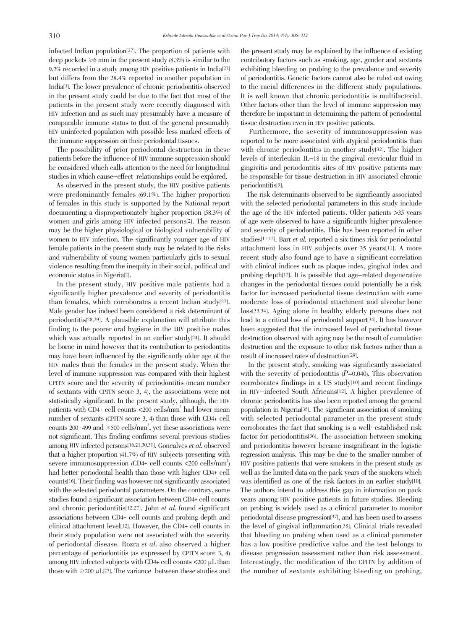infected Indian population[27]. The proportion of patients with deep pockets  $\geq 6$  mm in the present study (8.3%) is similar to the 9.2% recorded in a study among HIV positive patients in India[27] but differs from the 28.4% reported in another population in India[3]. The lower prevalence of chronic periodontitis observed in the present study could be due to the fact that most of the patients in the present study were recently diagnosed with HIV infection and as such may presumably have a measure of comparable immune status to that of the general presumably HIV uninfected population with possible less marked effects of the immune suppression on their periodontal tissues.

The possibility of prior periodontal destruction in these patients before the influence of HIV immune suppression should be considered which calls attention to the need for longitudinal studies in which cause-effect relationships could be explored.

As observed in the present study, the HIV positive patients were predominantly females (69.1%). The higher proportion of females in this study is supported by the National report documenting a disproportionately higher proportion (58.3%) of women and girls among HIV infected persons[2]. The reason may be the higher physiological or biological vulnerability of women to HIV infection. The significantly younger age of HIV female patients in the present study may be related to the risks and vulnerability of young women particularly girls to sexual violence resulting from the inequity in their social, political and economic status in Nigeria<sup>[2]</sup>.

In the present study, HIV positive male patients had a significantly higher prevalence and severity of periodontitis than females, which corroborates a recent Indian study[27]. Male gender has indeed been considered a risk determinant of periodontitis[28,29]. A plausible explanation will attribute this finding to the poorer oral hygiene in the HIV positive males which was actually reported in an earlier study<sup>[24]</sup>. It should be borne in mind however that its contribution to periodontitis may have been influenced by the significantly older age of the HIV males than the females in the present study. When the level of immune suppression was compared with their highest CPITN score and the severity of periodontitis (mean number of sextants with CPITN score 3, 4), the associations were not statistically significant. In the present study, although, the HIV patients with CD4+ cell counts <200 cells/mm3 had lower mean number of sextants (CPITN score 3, 4) than those with CD4+ cell counts 200–499 and  $\geq 500$  cells/mm<sup>3</sup>, yet these associations were not significant. This finding confirms several previous studies among HIV infected persons[16,21,30,31]. Goncalves et al. observed that a higher proportion (41.7%) of HIV subjects presenting with severe immunosuppression (CD4+ cell counts <200 cells/mm<sup>3</sup>) had better periodontal health than those with higher CD4+ cell counts<sup>[16]</sup>. Their finding was however not significantly associated with the selected periodontal parameters. On the contrary, some studies found a significant association between CD4+ cell counts and chronic periodontitis[12,27]. John et al. found significant associations between CD4+ cell counts and probing depth and clinical attachment level[12]. However, the CD4+ cell counts in their study population were not associated with the severity of periodontal disease. Rozra et al. also observed a higher percentage of periodontitis (as expressed by CPITN score 3, 4) among HIV infected subjects with CD4+ cell counts <200  $\mu$ L than those with  $\geq 200 \mu L[27]$ . The variance between these studies and

the present study may be explained by the influence of existing contributory factors such as smoking, age, gender and sextants exhibiting bleeding on probing to the prevalence and severity of periodontitis. Genetic factors cannot also be ruled out owing to the racial differences in the different study populations. It is well known that chronic periodontitis is multifactorial. Other factors other than the level of immune suppression may therefore be important in determining the pattern of periodontal tissue destruction even in HIV positive patients.

Furthermore, the severity of immunosuppression was reported to be more associated with atypical periodontitis than with chronic periodontitis in another study<sup>[32]</sup>. The higher levels of interleukin IL-18 in the gingival crevicular fluid in gingivitis and periodontitis sites of HIV positive patients may be responsible for tissue destruction in HIV associated chronic periodontitis[9].

The risk determinants observed to be significantly associated with the selected periodontal parameters in this study include the age of the HIV infected patients. Older patients >35 years of age were observed to have a significantly higher prevalence and severity of periodontitis. This has been reported in other studies<sup>[11,12]</sup>. Barr *et al.* reported a six times risk for periodontal attachment loss in HIV subjects over 35 years[11]. A more recent study also found age to have a significant correlation with clinical indices such as plaque index, gingival index and probing depth[12]. It is possible that age-related degenerative changes in the periodontal tissues could potentially be a risk factor for increased periodontal tissue destruction with some moderate loss of periodontal attachment and alveolar bone loss[33,34]. Aging alone in healthy elderly persons does not lead to a critical loss of periodontal support[34]. It has however been suggested that the increased level of periodontal tissue destruction observed with aging may be the result of cumulative destruction and the exposure to other risk factors rather than a result of increased rates of destruction[29].

In the present study, smoking was significantly associated with the severity of periodontitis  $(P=0.040)$ . This observation corroborates findings in a US study[10] and recent findings in HIV-infected South Africans[12]. A higher prevalence of chronic periodontitis has also been reported among the general population in Nigeria[35]. The significant association of smoking with selected periodontal parameter in the present study corroborates the fact that smoking is a well-established risk factor for periodontitis[36]. The association between smoking and periodontitis however became insignificant in the logistic regression analysis. This may be due to the smaller number of HIV positive patients that were smokers in the present study as well as the limited data on the pack years of the smokers which was identified as one of the risk factors in an earlier study[10]. The authors intend to address this gap in information on pack years among HIV positive patients in future studies. Bleeding on probing is widely used as a clinical parameter to monitor periodontal disease progression[37], and has been used to assess the level of gingival inflammation[38]. Clinical trials revealed that bleeding on probing when used as a clinical parameter has a low positive predictive value and the test belongs to disease progression assessment rather than risk assessment. Interestingly, the modification of the CPITN by addition of the number of sextants exhibiting bleeding on probing,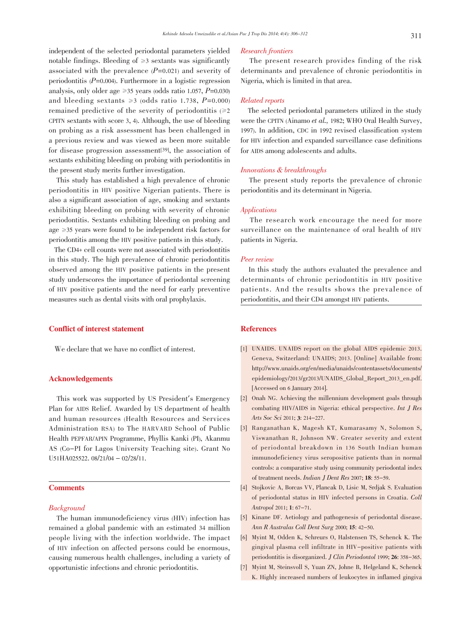independent of the selected periodontal parameters yielded notable findings. Bleeding of  $\geq 3$  sextants was significantly associated with the prevalence  $(P=0.021)$  and severity of periodontitis  $(P=0.004)$ . Furthermore in a logistic regression analysis, only older age  $\geq$ 35 years (odds ratio 1.057, P=0.030) and bleeding sextants  $\geq 3$  (odds ratio 1.738, P=0.000) remained predictive of the severity of periodontitis  $(\geq 2)$ CPITN sextants with score 3, 4). Although, the use of bleeding on probing as a risk assessment has been challenged in a previous review and was viewed as been more suitable for disease progression assessment[39], the association of sextants exhibiting bleeding on probing with periodontitis in the present study merits further investigation.

This study has established a high prevalence of chronic periodontitis in HIV positive Nigerian patients. There is also a significant association of age, smoking and sextants exhibiting bleeding on probing with severity of chronic periodontitis. Sextants exhibiting bleeding on probing and age <sup>≥</sup>35 years were found to be independent risk factors for periodontitis among the HIV positive patients in this study.

The CD4+ cell counts were not associated with periodontitis in this study. The high prevalence of chronic periodontitis observed among the HIV positive patients in the present study underscores the importance of periodontal screening of HIV positive patients and the need for early preventive measures such as dental visits with oral prophylaxis.

# Conflict of interest statement

We declare that we have no conflict of interest.

# Acknowledgements

This work was supported by US President's Emergency Plan for AIDS Relief. Awarded by US department of health and human resources (Health Resources and Services Administration RSA) to The HARVARD School of Public Health PEPFAR/APIN Programme, Phyllis Kanki (PI), Akanmu AS (Co-PI for Lagos University Teaching site). Grant No U51HA025522. 08/21/04 - 02/28/11.

# **Comments**

# **Background**

The human immunodeficiency virus (HIV) infection has remained a global pandemic with an estimated 34 million people living with the infection worldwide. The impact of HIV infection on affected persons could be enormous, causing numerous health challenges, including a variety of opportunistic infections and chronic periodontitis.

#### Research frontiers

The present research provides finding of the risk determinants and prevalence of chronic periodontitis in Nigeria, which is limited in that area.

# Related reports

The selected periodontal parameters utilized in the study were the CPITN (Ainamo et al., 1982; WHO Oral Health Survey, 1997). In addition, CDC in 1992 revised classification system for HIV infection and expanded surveillance case definitions for AIDS among adolescents and adults.

# Innovations & breakthroughs

The present study reports the prevalence of chronic periodontitis and its determinant in Nigeria.

# Applications

The research work encourage the need for more surveillance on the maintenance of oral health of HIV patients in Nigeria.

# Peer review

In this study the authors evaluated the prevalence and determinants of chronic periodontitis in HIV positive patients. And the results shows the prevalence of periodontitis, and their CD4 amongst HIV patients.

# References

- [1] UNAIDS. UNAIDS report on the global AIDS epidemic 2013. Geneva, Switzerland: UNAIDS; 2013. [Online] Available from: http://www.unaids.org/en/media/unaids/contentassets/documents/ epidemiology/2013/gr2013/UNAIDS\_Global\_Report\_2013\_en.pdf. [Accessed on 6 January 2014].
- [2] Onah NG. Achieving the millennium development goals through combating HIV/AIDS in Nigeria: ethical perspective. Int J Res Arts Soc Sci 2011; 3: 214-227.
- [3] Ranganathan K, Magesh KT, Kumarasamy N, Solomon S, Viswanathan R, Johnson NW. Greater severity and extent of periodontal breakdown in 136 South Indian human immunodeficiency virus seropositive patients than in normal controls: a comparative study using community periodontal index of treatment needs. Indian J Dent Res 2007; 18: 55-59.
- [4] Stojkovic A, Borcas VV, Plancak D, Lisic M, Srdjak S. Evaluation of periodontal status in HIV infected persons in Croatia. Coll Antropol 2011; 1: 67-71.
- [5] Kinane DF. Aetiology and pathogenesis of periodontal disease. Ann R Australas Coll Dent Surg 2000; 15: 42-50.
- [6] Myint M, Odden K, Schreurs O, Halstensen TS, Schenck K. The gingival plasma cell infiltrate in HIV-positive patients with periodontitis is disorganized. J Clin Periodontol 1999; 26: 358-365.
- [7] Myint M, Steinsvoll S, Yuan ZN, Johne B, Helgeland K, Schenck K. Highly increased numbers of leukocytes in inflamed gingiva